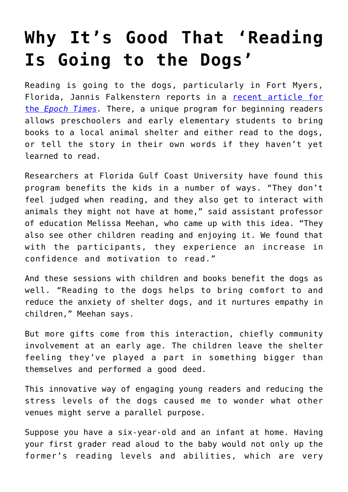## **[Why It's Good That 'Reading](https://intellectualtakeout.org/2022/04/why-its-good-that-reading-is-going-to-the-dogs/) [Is Going to the Dogs'](https://intellectualtakeout.org/2022/04/why-its-good-that-reading-is-going-to-the-dogs/)**

Reading is going to the dogs, particularly in Fort Myers, Florida, Jannis Falkenstern reports in a [recent article for](https://www.theepochtimes.com/reading-is-going-to-the-dogs-in-southwest-florida_4339011.html) [the](https://www.theepochtimes.com/reading-is-going-to-the-dogs-in-southwest-florida_4339011.html) *[Epoch Times.](https://www.theepochtimes.com/reading-is-going-to-the-dogs-in-southwest-florida_4339011.html)* There, a unique program for beginning readers allows preschoolers and early elementary students to bring books to a local animal shelter and either read to the dogs, or tell the story in their own words if they haven't yet learned to read.

Researchers at Florida Gulf Coast University have found this program benefits the kids in a number of ways. "They don't feel judged when reading, and they also get to interact with animals they might not have at home," said assistant professor of education Melissa Meehan, who came up with this idea. "They also see other children reading and enjoying it. We found that with the participants, they experience an increase in confidence and motivation to read."

And these sessions with children and books benefit the dogs as well. "Reading to the dogs helps to bring comfort to and reduce the anxiety of shelter dogs, and it nurtures empathy in children," Meehan says.

But more gifts come from this interaction, chiefly community involvement at an early age. The children leave the shelter feeling they've played a part in something bigger than themselves and performed a good deed.

This innovative way of engaging young readers and reducing the stress levels of the dogs caused me to wonder what other venues might serve a parallel purpose.

Suppose you have a six-year-old and an infant at home. Having your first grader read aloud to the baby would not only up the former's reading levels and abilities, which are very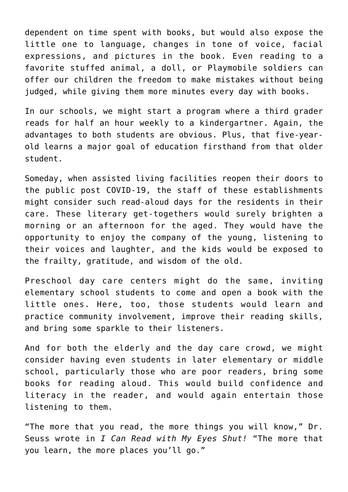dependent on time spent with books, but would also expose the little one to language, changes in tone of voice, facial expressions, and pictures in the book. Even reading to a favorite stuffed animal, a doll, or Playmobile soldiers can offer our children the freedom to make mistakes without being judged, while giving them more minutes every day with books.

In our schools, we might start a program where a third grader reads for half an hour weekly to a kindergartner. Again, the advantages to both students are obvious. Plus, that five-yearold learns a major goal of education firsthand from that older student.

Someday, when assisted living facilities reopen their doors to the public post COVID-19, the staff of these establishments might consider such read-aloud days for the residents in their care. These literary get-togethers would surely brighten a morning or an afternoon for the aged. They would have the opportunity to enjoy the company of the young, listening to their voices and laughter, and the kids would be exposed to the frailty, gratitude, and wisdom of the old.

Preschool day care centers might do the same, inviting elementary school students to come and open a book with the little ones. Here, too, those students would learn and practice community involvement, improve their reading skills, and bring some sparkle to their listeners.

And for both the elderly and the day care crowd, we might consider having even students in later elementary or middle school, particularly those who are poor readers, bring some books for reading aloud. This would build confidence and literacy in the reader, and would again entertain those listening to them.

"The more that you read, the more things you will know," Dr. Seuss wrote in *I Can Read with My Eyes Shut!* "The more that you learn, the more places you'll go."